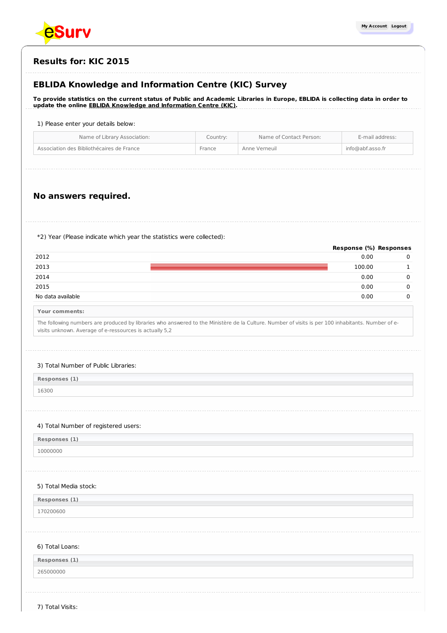

## **Results for: KIC 2015**

## **EBLIDA Knowledge and Information Centre (KIC) Survey**

To provide statistics on the current status of Public and Academic Libraries in Europe, EBLIDA is collecting data in order to **update the online EBLIDA Knowledge and [Information](http://www.eblida.org/activities/kic/) Centre (KIC).**

## 1) Please enter your details below:

| Name of Library Association:              | Country: | Name of Contact Person: | E-mail address:  |
|-------------------------------------------|----------|-------------------------|------------------|
| Association des Bibliothécaires de France | France   | Anne Verneuil           | info@abf.asso.fr |

## **No answers required.**

\*2) Year (Please indicate which year the statistics were collected):

|                                                                                                                                                                                                               |        | Response (%) Responses |
|---------------------------------------------------------------------------------------------------------------------------------------------------------------------------------------------------------------|--------|------------------------|
| 2012                                                                                                                                                                                                          | 0.00   | 0                      |
| 2013                                                                                                                                                                                                          | 100.00 | $\mathbf{1}$           |
| 2014                                                                                                                                                                                                          | 0.00   | 0                      |
| 2015                                                                                                                                                                                                          | 0.00   | $\Omega$               |
| No data available                                                                                                                                                                                             | 0.00   | $\Omega$               |
| Your comments:                                                                                                                                                                                                |        |                        |
| The following numbers are produced by libraries who answered to the Ministère de la Culture. Number of visits is per 100 inhabitants. Number of e-<br>visits unknown. Average of e-ressources is actually 5,2 |        |                        |
| 3) Total Number of Public Libraries:                                                                                                                                                                          |        |                        |
|                                                                                                                                                                                                               |        |                        |
| Responses (1)                                                                                                                                                                                                 |        |                        |
| 16300                                                                                                                                                                                                         |        |                        |
|                                                                                                                                                                                                               |        |                        |
| 10000000                                                                                                                                                                                                      |        |                        |
| 4) Total Number of registered users:<br>Responses (1)<br>5) Total Media stock:<br>Responses (1)<br>170200600                                                                                                  |        |                        |
|                                                                                                                                                                                                               |        |                        |
|                                                                                                                                                                                                               |        |                        |
| 6) Total Loans:<br>Responses (1)                                                                                                                                                                              |        |                        |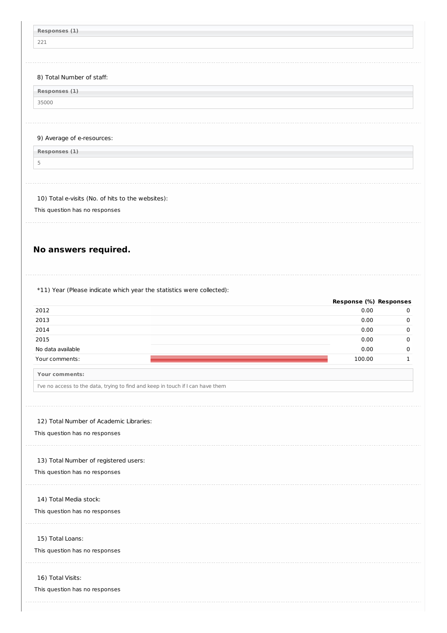| Responses (1)                                                                                                                                                                                                                                                                                                                                                                                                                                                         |                                |                         |
|-----------------------------------------------------------------------------------------------------------------------------------------------------------------------------------------------------------------------------------------------------------------------------------------------------------------------------------------------------------------------------------------------------------------------------------------------------------------------|--------------------------------|-------------------------|
| 221                                                                                                                                                                                                                                                                                                                                                                                                                                                                   |                                |                         |
|                                                                                                                                                                                                                                                                                                                                                                                                                                                                       |                                |                         |
|                                                                                                                                                                                                                                                                                                                                                                                                                                                                       |                                |                         |
|                                                                                                                                                                                                                                                                                                                                                                                                                                                                       |                                |                         |
| 8) Total Number of staff:                                                                                                                                                                                                                                                                                                                                                                                                                                             |                                |                         |
| Responses (1)                                                                                                                                                                                                                                                                                                                                                                                                                                                         |                                |                         |
| 35000                                                                                                                                                                                                                                                                                                                                                                                                                                                                 |                                |                         |
|                                                                                                                                                                                                                                                                                                                                                                                                                                                                       |                                |                         |
|                                                                                                                                                                                                                                                                                                                                                                                                                                                                       |                                |                         |
| 9) Average of e-resources:                                                                                                                                                                                                                                                                                                                                                                                                                                            |                                |                         |
| Responses (1)                                                                                                                                                                                                                                                                                                                                                                                                                                                         |                                |                         |
| 5                                                                                                                                                                                                                                                                                                                                                                                                                                                                     |                                |                         |
|                                                                                                                                                                                                                                                                                                                                                                                                                                                                       |                                |                         |
|                                                                                                                                                                                                                                                                                                                                                                                                                                                                       |                                |                         |
| 10) Total e-visits (No. of hits to the websites):                                                                                                                                                                                                                                                                                                                                                                                                                     |                                |                         |
| This question has no responses                                                                                                                                                                                                                                                                                                                                                                                                                                        |                                |                         |
|                                                                                                                                                                                                                                                                                                                                                                                                                                                                       |                                |                         |
|                                                                                                                                                                                                                                                                                                                                                                                                                                                                       |                                |                         |
|                                                                                                                                                                                                                                                                                                                                                                                                                                                                       |                                |                         |
| No answers required.                                                                                                                                                                                                                                                                                                                                                                                                                                                  |                                |                         |
|                                                                                                                                                                                                                                                                                                                                                                                                                                                                       |                                |                         |
|                                                                                                                                                                                                                                                                                                                                                                                                                                                                       |                                |                         |
|                                                                                                                                                                                                                                                                                                                                                                                                                                                                       |                                |                         |
|                                                                                                                                                                                                                                                                                                                                                                                                                                                                       |                                |                         |
|                                                                                                                                                                                                                                                                                                                                                                                                                                                                       |                                |                         |
|                                                                                                                                                                                                                                                                                                                                                                                                                                                                       | Response (%) Responses<br>0.00 |                         |
|                                                                                                                                                                                                                                                                                                                                                                                                                                                                       | 0.00                           |                         |
|                                                                                                                                                                                                                                                                                                                                                                                                                                                                       | 0.00                           |                         |
|                                                                                                                                                                                                                                                                                                                                                                                                                                                                       | 0.00                           | 0<br>0<br>0<br>$\Omega$ |
|                                                                                                                                                                                                                                                                                                                                                                                                                                                                       | 0.00                           |                         |
|                                                                                                                                                                                                                                                                                                                                                                                                                                                                       | 100.00                         |                         |
|                                                                                                                                                                                                                                                                                                                                                                                                                                                                       |                                | $\mathbf 0$<br>1        |
|                                                                                                                                                                                                                                                                                                                                                                                                                                                                       |                                |                         |
|                                                                                                                                                                                                                                                                                                                                                                                                                                                                       |                                |                         |
|                                                                                                                                                                                                                                                                                                                                                                                                                                                                       |                                |                         |
|                                                                                                                                                                                                                                                                                                                                                                                                                                                                       |                                |                         |
|                                                                                                                                                                                                                                                                                                                                                                                                                                                                       |                                |                         |
|                                                                                                                                                                                                                                                                                                                                                                                                                                                                       |                                |                         |
|                                                                                                                                                                                                                                                                                                                                                                                                                                                                       |                                |                         |
|                                                                                                                                                                                                                                                                                                                                                                                                                                                                       |                                |                         |
|                                                                                                                                                                                                                                                                                                                                                                                                                                                                       |                                |                         |
|                                                                                                                                                                                                                                                                                                                                                                                                                                                                       |                                |                         |
|                                                                                                                                                                                                                                                                                                                                                                                                                                                                       |                                |                         |
|                                                                                                                                                                                                                                                                                                                                                                                                                                                                       |                                |                         |
|                                                                                                                                                                                                                                                                                                                                                                                                                                                                       |                                |                         |
| *11) Year (Please indicate which year the statistics were collected):<br>2012<br>2013<br>2014<br>2015<br>No data available<br>Your comments:<br>Your comments:<br>I've no access to the data, trying to find and keep in touch if I can have them<br>12) Total Number of Academic Libraries:<br>This question has no responses<br>13) Total Number of registered users:<br>This question has no responses<br>14) Total Media stock:<br>This question has no responses |                                |                         |
|                                                                                                                                                                                                                                                                                                                                                                                                                                                                       |                                |                         |
| 15) Total Loans:<br>This question has no responses                                                                                                                                                                                                                                                                                                                                                                                                                    |                                |                         |
|                                                                                                                                                                                                                                                                                                                                                                                                                                                                       |                                |                         |
| 16) Total Visits:                                                                                                                                                                                                                                                                                                                                                                                                                                                     |                                |                         |
| This question has no responses                                                                                                                                                                                                                                                                                                                                                                                                                                        |                                |                         |